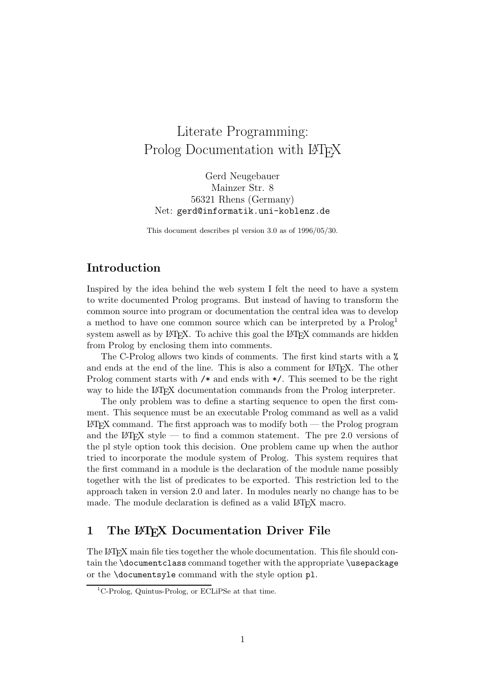# r Documentation with Prolog Documentation with LAT<sub>E</sub>X

Gerd Neugebauer Mainzer Str. 8 56321 Rhens (Germany) Net: gerd@informatik.uni-koblenz.de

This document describes pl version 3.0 as of 1996/05/30.

# **Introduction**

Inspired by the idea behind the web system I felt the need to have a system to write documented Prolog programs. But instead of having to transform the common source into program or documentation the central idea was to develop a method to have one common source which can be interpreted by a Prolog<sup>1</sup> system aswell as by LATEX. To achive this goal the LATEX commands are hidden from Prolog by enclosing them into comments.

The C-Prolog allows two kinds of comments. The first kind starts with a % and ends at the end of the line. This is also a comment for LAT<sub>E</sub>X. The other Prolog comment starts with /\* and ends with \*/. This seemed to be the right way to hide the LAT<sub>EX</sub> documentation commands from the Prolog interpreter.

The only problem was to define a starting sequence to open the first comment. This sequence must be an executable Prolog command as well as a valid  $\LaTeX{}$  command. The first approach was to modify both — the Prolog program and the LAT<sub>EX</sub> style — to find a common statement. The pre 2.0 versions of the pl style option took this decision. One problem came up when the author tried to incorporate the module system of Prolog. This system requires that the first command in a module is the declaration of the module name possibly together with the list of predicates to be exported. This restriction led to the approach taken in version 2.0 and later. In modules nearly no change has to be made. The module declaration is defined as a valid LAT<sub>E</sub>X macro.

# **1 The LATEX Documentation Driver File**

The LATEX main file ties together the whole documentation. This file should contain the \documentclass command together with the appropriate \usepackage or the \documentsyle command with the style option pl.

 ${}^{1}$ C-Prolog, Quintus-Prolog, or ECLiPSe at that time.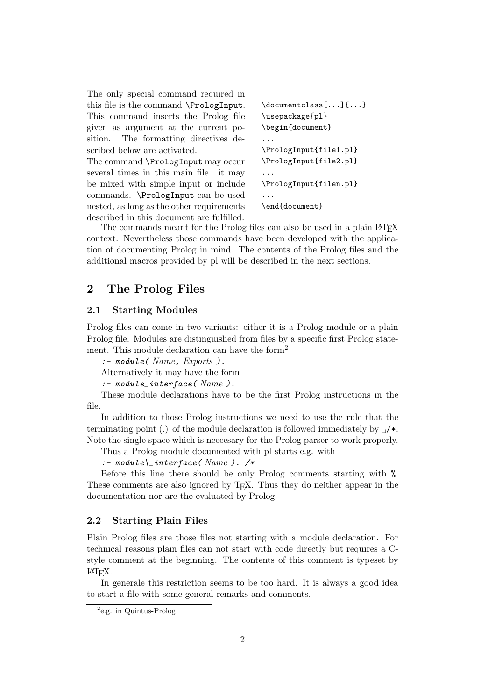The only special command required in this file is the command \PrologInput. This command inserts the Prolog file given as argument at the current position. The formatting directives described below are activated.

The command \PrologInput may occur several times in this main file. it may be mixed with simple input or include commands. \PrologInput can be used nested, as long as the other requirements described in this document are fulfilled.

```
\documentclass[...]{...}
\usepackage{pl}
\begin{document}
...
\PrologInput{file1.pl}
\PrologInput{file2.pl}
...
\PrologInput{filen.pl}
...
\end{document}
```
The commands meant for the Prolog files can also be used in a plain LAT<sub>EX</sub> context. Nevertheless those commands have been developed with the application of documenting Prolog in mind. The contents of the Prolog files and the additional macros provided by pl will be described in the next sections.

# **2 The Prolog Files**

# **2.1 Starting Modules**

Prolog files can come in two variants: either it is a Prolog module or a plain Prolog file. Modules are distinguished from files by a specific first Prolog statement. This module declaration can have the form<sup>2</sup>

```
:- module( Name, Exports ).
```
Alternatively it may have the form

```
:- module_interface( Name ).
```
These module declarations have to be the first Prolog instructions in the file.

In addition to those Prolog instructions we need to use the rule that the terminating point (.) of the module declaration is followed immediately by  $\Box$ /\*. Note the single space which is neccesary for the Prolog parser to work properly.

Thus a Prolog module documented with pl starts e.g. with

*:- module\\_interface( Name ). /\**

Before this line there should be only Prolog comments starting with %. These comments are also ignored by T<sub>EX</sub>. Thus they do neither appear in the documentation nor are the evaluated by Prolog.

### **2.2 Starting Plain Files**

Plain Prolog files are those files not starting with a module declaration. For technical reasons plain files can not start with code directly but requires a Cstyle comment at the beginning. The contents of this comment is typeset by LATEX.

In generale this restriction seems to be too hard. It is always a good idea to start a file with some general remarks and comments.

<sup>2</sup>e.g. in Quintus-Prolog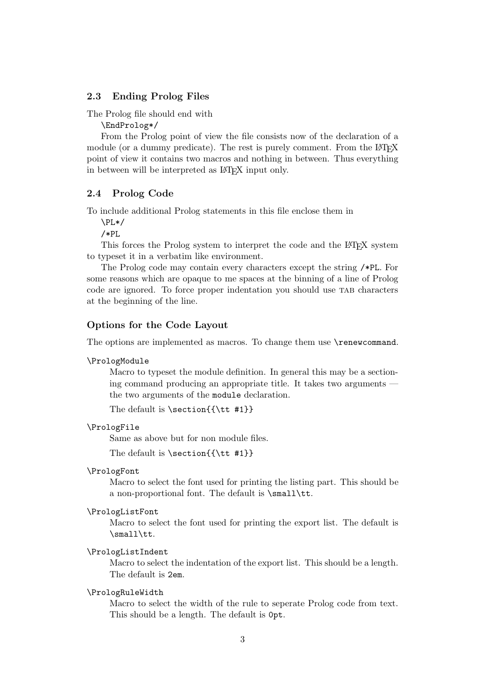# **2.3 Ending Prolog Files**

The Prolog file should end with

\EndProlog\*/

From the Prolog point of view the file consists now of the declaration of a module (or a dummy predicate). The rest is purely comment. From the LATEX point of view it contains two macros and nothing in between. Thus everything in between will be interpreted as LAT<sub>EX</sub> input only.

### **2.4 Prolog Code**

To include additional Prolog statements in this file enclose them in

\PL\*/

/\*PL

This forces the Prolog system to interpret the code and the LAT<sub>EX</sub> system to typeset it in a verbatim like environment.

The Prolog code may contain every characters except the string /\*PL. For some reasons which are opaque to me spaces at the binning of a line of Prolog code are ignored. To force proper indentation you should use tab characters at the beginning of the line.

# **Options for the Code Layout**

The options are implemented as macros. To change them use  $\$ renewcommand.

#### \PrologModule

Macro to typeset the module definition. In general this may be a sectioning command producing an appropriate title. It takes two arguments the two arguments of the module declaration.

The default is  $\setminus$  section{{ $\tt \#1}$ }

### \PrologFile

Same as above but for non module files.

The default is  $\setminus$  section{{\tt #1}}

#### \PrologFont

Macro to select the font used for printing the listing part. This should be a non-proportional font. The default is \small\tt.

#### \PrologListFont

Macro to select the font used for printing the export list. The default is \small\tt.

### \PrologListIndent

Macro to select the indentation of the export list. This should be a length. The default is 2em.

### \PrologRuleWidth

Macro to select the width of the rule to seperate Prolog code from text. This should be a length. The default is 0pt.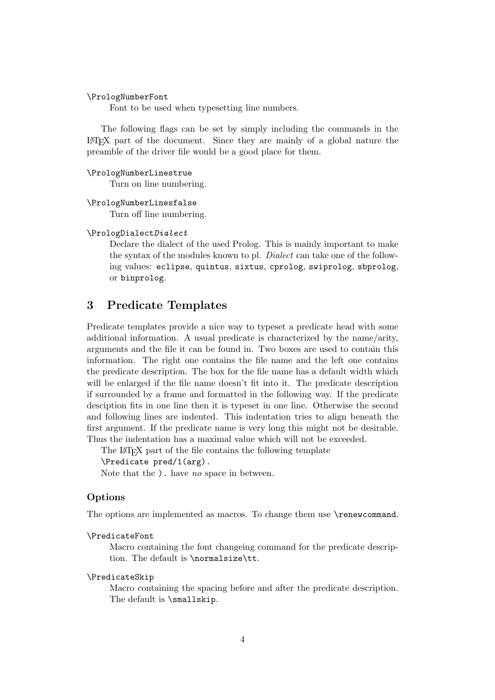\PrologNumberFont

Font to be used when typesetting line numbers.

The following flags can be set by simply including the commands in the LATEX part of the document. Since they are mainly of a global nature the preamble of the driver file would be a good place for them.

#### \PrologNumberLinestrue

Turn on line numbering.

### \PrologNumberLinesfalse

Turn off line numbering.

#### \PrologDialect*Dialect*

Declare the dialect of the used Prolog. This is mainly important to make the syntax of the modules known to pl. *Dialect* can take one of the following values: eclipse, quintus, sixtus, cprolog, swiprolog, sbprolog, or binprolog.

# **3 Predicate Templates**

Predicate templates provide a nice way to typeset a predicate head with some additional information. A usual predicate is characterized by the name/arity, arguments and the file it can be found in. Two boxes are used to contain this information. The right one contains the file name and the left one contains the predicate description. The box for the file name has a default width which will be enlarged if the file name doesn't fit into it. The predicate description if surrounded by a frame and formatted in the following way. If the predicate desciption fits in one line then it is typeset in one line. Otherwise the second and following lines are indented. This indentation tries to align beneath the first argument. If the predicate name is very long this might not be desirable. Thus the indentation has a maximal value which will not be exceeded.

The LATEX part of the file contains the following template

### \Predicate pred/1(arg).

Note that the ). have *no* space in between.

### **Options**

The options are implemented as macros. To change them use \renewcommand.

#### \PredicateFont

Macro containing the font changeing command for the predicate description. The default is \normalsize\tt.

### \PredicateSkip

Macro containing the spacing before and after the predicate description. The default is \smallskip.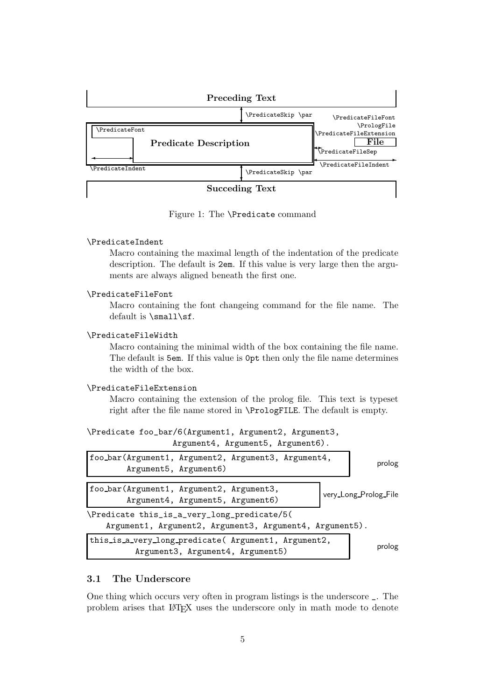

Figure 1: The \Predicate command

### \PredicateIndent

Macro containing the maximal length of the indentation of the predicate description. The default is 2em. If this value is very large then the arguments are always aligned beneath the first one.

### \PredicateFileFont

Macro containing the font changeing command for the file name. The default is \small\sf.

#### \PredicateFileWidth

Macro containing the minimal width of the box containing the file name. The default is 5em. If this value is 0pt then only the file name determines the width of the box.

### \PredicateFileExtension

Macro containing the extension of the prolog file. This text is typeset right after the file name stored in \PrologFILE. The default is empty.

|  |  |  | \Predicate foo_bar/6(Argument1, Argument2, Argument3, |  |  |
|--|--|--|-------------------------------------------------------|--|--|
|--|--|--|-------------------------------------------------------|--|--|

Argument4, Argument5, Argument6).

| foo_bar(Argument1, Argument2, Argument3, Argument4,<br>Argument5, Argument6)                           | prolog                |  |  |  |  |
|--------------------------------------------------------------------------------------------------------|-----------------------|--|--|--|--|
| foo_bar(Argument1, Argument2, Argument3,<br>Argument4, Argument5, Argument6)                           | very_Long_Prolog_File |  |  |  |  |
| \Predicate this_is_a_very_long_predicate/5(<br>Argument1, Argument2, Argument3, Argument4, Argument5). |                       |  |  |  |  |
| this_is_a_very_long_predicate( Argument1, Argument2,<br>Argument3, Argument4, Argument5)               | prolog                |  |  |  |  |

# **3.1 The Underscore**

One thing which occurs very often in program listings is the underscore \_. The problem arises that LATEX uses the underscore only in math mode to denote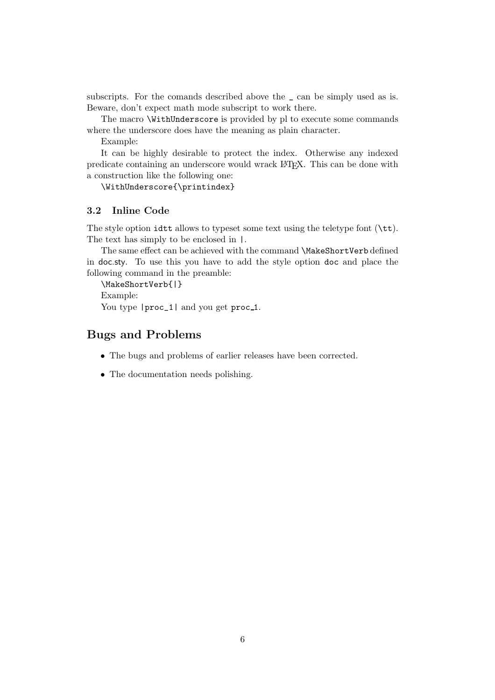subscripts. For the comands described above the \_ can be simply used as is. Beware, don't expect math mode subscript to work there.

The macro \WithUnderscore is provided by pl to execute some commands where the underscore does have the meaning as plain character.

Example:

It can be highly desirable to protect the index. Otherwise any indexed predicate containing an underscore would wrack LAT<sub>E</sub>X. This can be done with a construction like the following one:

\WithUnderscore{\printindex}

# **3.2 Inline Code**

The style option idtt allows to typeset some text using the teletype font  $(\text{tt})$ . The text has simply to be enclosed in |.

The same effect can be achieved with the command \MakeShortVerb defined in doc.sty. To use this you have to add the style option doc and place the following command in the preamble:

\MakeShortVerb{|} Example: You type  $|proc_1|$  and you get proc<sub>1</sub>.

# **Bugs and Problems**

- The bugs and problems of earlier releases have been corrected.
- The documentation needs polishing.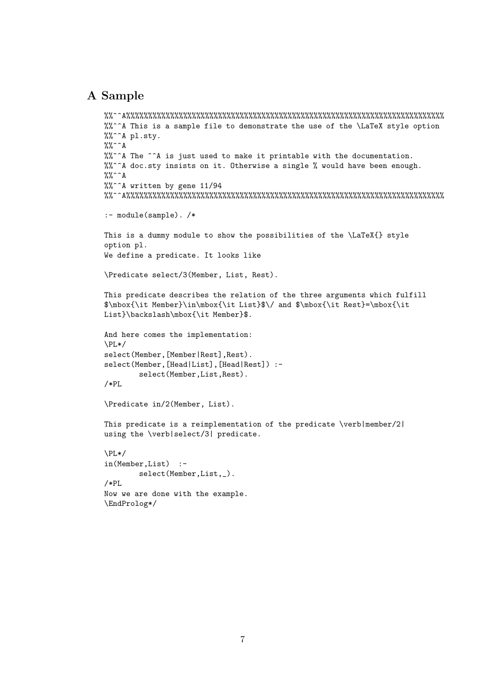# **A Sample**

```
%%^^A%%%%%%%%%%%%%%%%%%%%%%%%%%%%%%%%%%%%%%%%%%%%%%%%%%%%%%%%%%%%%%%%%%%%%%%%%
%%^^A This is a sample file to demonstrate the use of the \LaTeX style option
%%^^A pl.sty.
\frac{2}{3}%^^A
%%^^A The ^^A is just used to make it printable with the documentation.
%%^^A doc.sty insists on it. Otherwise a single % would have been enough.
\frac{9}{6} \frac{6}{6} \frac{6}{6} \frac{6}{6}%%^^A written by gene 11/94
%%^^A%%%%%%%%%%%%%%%%%%%%%%%%%%%%%%%%%%%%%%%%%%%%%%%%%%%%%%%%%%%%%%%%%%%%%%%%%
:- module(sample). /*
This is a dummy module to show the possibilities of the \LaTeX{} style
option pl.
We define a predicate. It looks like
\Predicate select/3(Member, List, Rest).
This predicate describes the relation of the three arguments which fulfill
$\mbox{\it Member}\in\mbox{\it List}$\/ and $\mbox{\it Rest}=\mbox{\it
List}\backslash\mbox{\it Member}$.
And here comes the implementation:
\PL*/
select(Member,[Member|Rest],Rest).
select(Member,[Head|List],[Head|Rest]) :-
        select(Member,List,Rest).
/*PL
\Predicate in/2(Member, List).
This predicate is a reimplementation of the predicate \verb|member/2|
using the \verb|select/3| predicate.
\PL*/
in(Member,List) :-
        select(Member,List,_).
/*PL
Now we are done with the example.
\EndProlog*/
```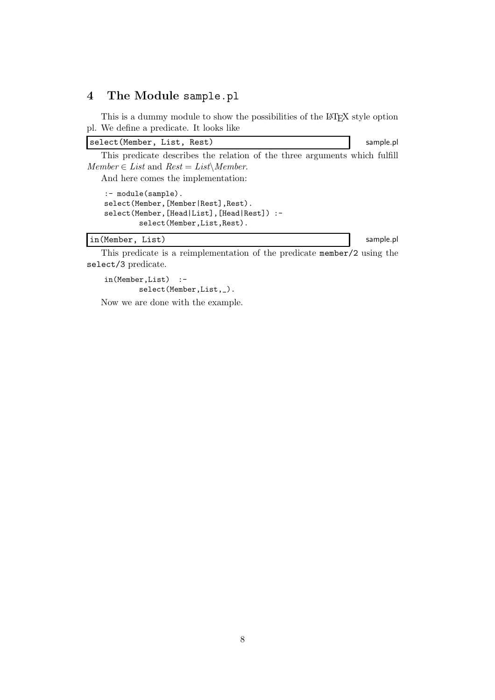# **4 The Module** sample.pl

This is a dummy module to show the possibilities of the LAT<sub>E</sub>X style option pl. We define a predicate. It looks like

select(Member, List, Rest) sample.pl

This predicate describes the relation of the three arguments which fulfill  $Member \in List$  and  $Rest = List\setminus Member$ .

And here comes the implementation:

```
:- module(sample).
select(Member,[Member|Rest],Rest).
select(Member,[Head|List],[Head|Rest]) :-
        select(Member,List,Rest).
```
in(Member, List) sample.pl

This predicate is a reimplementation of the predicate member/2 using the select/3 predicate.

in(Member,List) : select(Member,List,\_).

Now we are done with the example.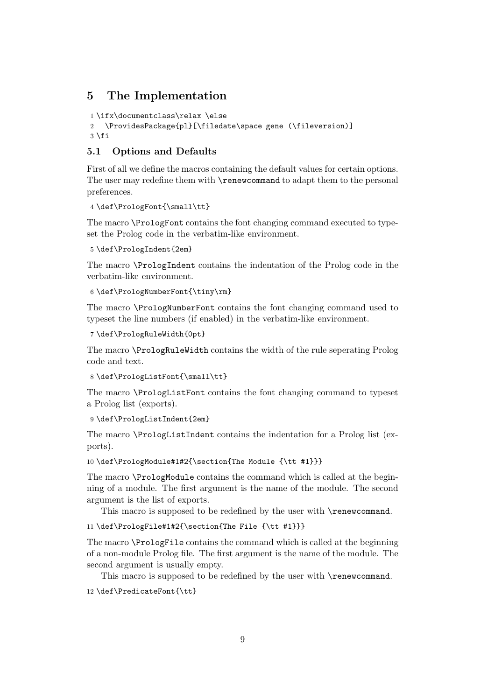# **5 The Implementation**

```
1 \ifx\documentclass\relax \else
```

```
2 \ProvidesPackage{pl}[\filedate\space gene (\fileversion)]
3 \mid 1
```
# **5.1 Options and Defaults**

First of all we define the macros containing the default values for certain options. The user may redefine them with \renewcommand to adapt them to the personal preferences.

4 \def\PrologFont{\small\tt}

The macro \PrologFont contains the font changing command executed to typeset the Prolog code in the verbatim-like environment.

```
5 \def\PrologIndent{2em}
```
The macro \PrologIndent contains the indentation of the Prolog code in the verbatim-like environment.

6 \def\PrologNumberFont{\tiny\rm}

The macro \PrologNumberFont contains the font changing command used to typeset the line numbers (if enabled) in the verbatim-like environment.

```
7 \def\PrologRuleWidth{0pt}
```
The macro \PrologRuleWidth contains the width of the rule seperating Prolog code and text.

8 \def\PrologListFont{\small\tt}

The macro \PrologListFont contains the font changing command to typeset a Prolog list (exports).

```
9 \def\PrologListIndent{2em}
```
The macro \PrologListIndent contains the indentation for a Prolog list (exports).

10 \def\PrologModule#1#2{\section{The Module {\tt #1}}}

The macro \PrologModule contains the command which is called at the beginning of a module. The first argument is the name of the module. The second argument is the list of exports.

This macro is supposed to be redefined by the user with **\renewcommand.** 

11 \def\PrologFile#1#2{\section{The File {\tt #1}}}

The macro \PrologFile contains the command which is called at the beginning of a non-module Prolog file. The first argument is the name of the module. The second argument is usually empty.

This macro is supposed to be redefined by the user with **\renewcommand.** 

12 \def\PredicateFont{\tt}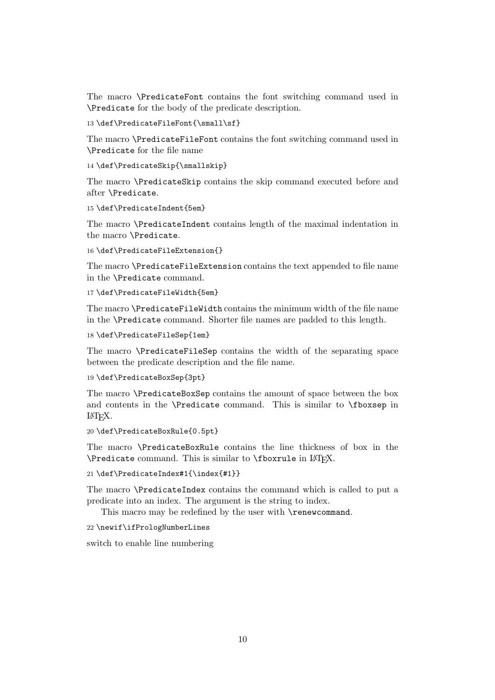The macro \PredicateFont contains the font switching command used in \Predicate for the body of the predicate description.

13 \def\PredicateFileFont{\small\sf}

The macro \PredicateFileFont contains the font switching command used in \Predicate for the file name

14 \def\PredicateSkip{\smallskip}

The macro \PredicateSkip contains the skip command executed before and after \Predicate.

15 \def\PredicateIndent{5em}

The macro \PredicateIndent contains length of the maximal indentation in the macro \Predicate.

```
16 \def\PredicateFileExtension{}
```
The macro \PredicateFileExtension contains the text appended to file name in the \Predicate command.

17 \def\PredicateFileWidth{5em}

The macro \PredicateFileWidth contains the minimum width of the file name in the \Predicate command. Shorter file names are padded to this length.

```
18 \def\PredicateFileSep{1em}
```
The macro \PredicateFileSep contains the width of the separating space between the predicate description and the file name.

19 \def\PredicateBoxSep{3pt}

The macro \PredicateBoxSep contains the amount of space between the box and contents in the \Predicate command. This is similar to \fboxsep in LATEX.

```
20 \def\PredicateBoxRule{0.5pt}
```
The macro \PredicateBoxRule contains the line thickness of box in the \Predicate command. This is similar to \fboxrule in LATEX.

21 \def\PredicateIndex#1{\index{#1}}

The macro \PredicateIndex contains the command which is called to put a predicate into an index. The argument is the string to index.

This macro may be redefined by the user with **\renewcommand**.

22 \newif\ifPrologNumberLines

switch to enable line numbering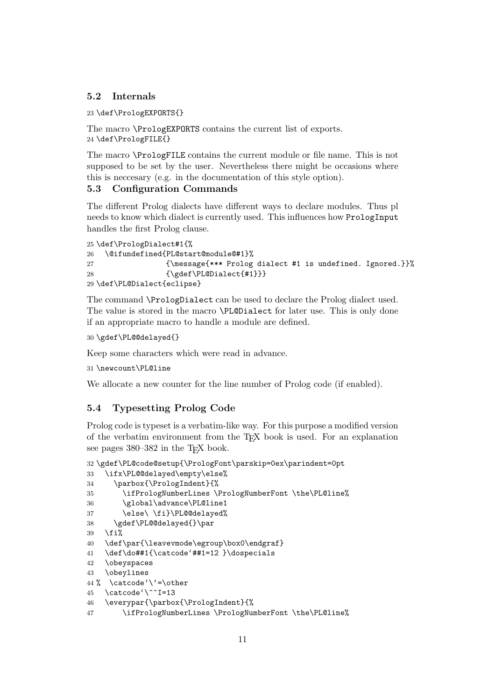# **5.2 Internals**

23 \def\PrologEXPORTS{}

The macro \PrologEXPORTS contains the current list of exports. 24 \def\PrologFILE{}

The macro \PrologFILE contains the current module or file name. This is not supposed to be set by the user. Nevertheless there might be occasions where this is neccesary (e.g. in the documentation of this style option).

# **5.3 Configuration Commands**

The different Prolog dialects have different ways to declare modules. Thus pl needs to know which dialect is currently used. This influences how PrologInput handles the first Prolog clause.

```
25 \def\PrologDialect#1{%
26 \@ifundefined{PL@start@module@#1}%
27 {\message{*** Prolog dialect #1 is undefined. Ignored.}}%
28 {\gdef\PL@Dialect{#1}}}
29 \def\PL@Dialect{eclipse}
```
The command \PrologDialect can be used to declare the Prolog dialect used. The value is stored in the macro \PL@Dialect for later use. This is only done if an appropriate macro to handle a module are defined.

```
30 \gdef\PL@@delayed{}
```
Keep some characters which were read in advance.

```
31 \newcount\PL@line
```
We allocate a new counter for the line number of Prolog code (if enabled).

### **5.4 Typesetting Prolog Code**

Prolog code is typeset is a verbatim-like way. For this purpose a modified version of the verbatim environment from the TEX book is used. For an explanation see pages 380–382 in the T<sub>E</sub>X book.

```
32 \gdef\PL@code@setup{\PrologFont\parskip=0ex\parindent=0pt
```

```
33 \ifx\PL@@delayed\empty\else%
```

```
34 \parbox{\PrologIndent}{%
```

```
35 \ifPrologNumberLines \PrologNumberFont \the\PL@line%
```

```
36 \global\advance\PL@line1
```

```
37 \else\ \fi}\PL@@delayed%
```

```
38 \gdef\PL@@delayed{}\par
```

```
39 \fi%
```
40 \def\par{\leavevmode\egroup\box0\endgraf}

```
41 \def\do##1{\catcode'##1=12 }\dospecials
```

```
42 \obeyspaces
```

```
43 \obeylines
```

```
44 % \catcode'\'=\other
```

```
45 \catcode'\^^I=13
```

```
46 \everypar{\parbox{\PrologIndent}{%
```

```
47 \ifPrologNumberLines \PrologNumberFont \the\PL@line%
```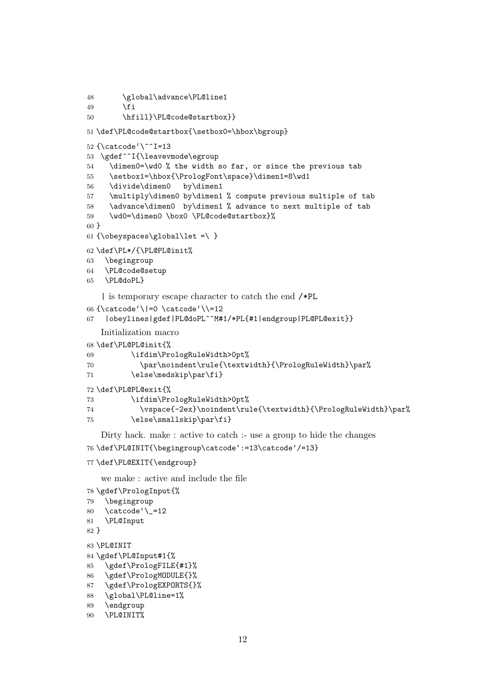```
48 \global\advance\PL@line1
49 \overline{11}50 \hfill}\PL@code@startbox}}
51 \def\PL@code@startbox{\setbox0=\hbox\bgroup}
52 {\catcode'\^^I=13
53 \gdef^^I{\leavevmode\egroup
54 \dimen0=\wd0 % the width so far, or since the previous tab
55 \setbox1=\hbox{\PrologFont\space}\dimen1=8\wd1
56 \divide\dimen0 by\dimen1
57 \multiply\dimen0 by\dimen1 % compute previous multiple of tab
58 \advance\dimen0 by\dimen1 % advance to next multiple of tab
59 \wd0=\dimen0 \box0 \PL@code@startbox}%
60 }
61 {\obeyspaces\global\let =\ }
62 \def\PL*/{\PL@PL@init%
63 \begingroup
64 \PL@code@setup
65 \PL@doPL}
   | is temporary escape character to catch the end /*PL
66 {\catcode'\|=0 \catcode'\\=12
67 |obeylines|gdef|PL@doPL^^M#1/*PL{#1|endgroup|PL@PL@exit}}
   Initialization macro
68 \def\PL@PL@init{%
69 \ifdim\PrologRuleWidth>0pt%
70 \par\noindent\rule{\textwidth}{\PrologRuleWidth}\par%
71 \else\medskip\par\fi}
72 \def\PL@PL@exit{%
73 \ifdim\PrologRuleWidth>0pt%
74 \vspace{-2ex}\noindent\rule{\textwidth}{\PrologRuleWidth}\par%
75 \else\smallskip\par\fi}
   Dirty hack. make : active to catch :- use a group to hide the changes
```

```
76 \def\PL@INIT{\begingroup\catcode':=13\catcode'/=13}
```

```
77 \def\PL@EXIT{\endgroup}
```
we make : active and include the file

```
78 \gdef\PrologInput{%
79 \begingroup
80 \catcode\{-1281 \PL@Input
82 }
83 \PL@INIT
84 \gdef\PL@Input#1{%
85 \gdef\PrologFILE{#1}%
86 \gdef\PrologMODULE{}%
87 \gdef\PrologEXPORTS{}%
88 \global\PL@line=1%
89 \endgroup
90 \PL@INIT%
```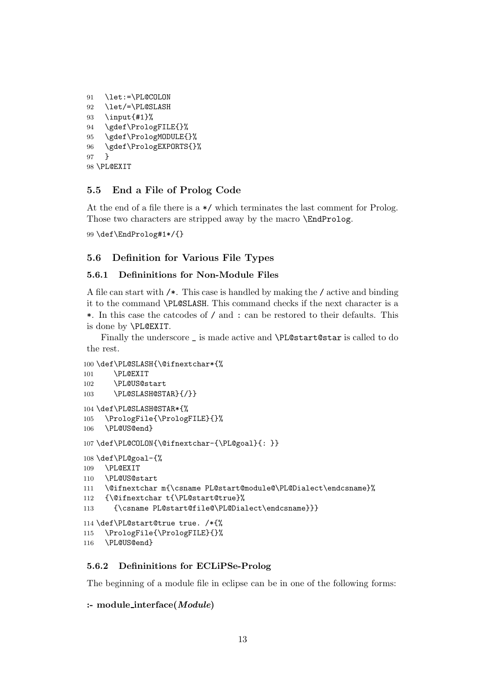```
91 \let:=\PL@COLON
92 \let/=\PL@SLASH
93 \input{#1}%
94 \gdef\PrologFILE{}%
95 \gdef\PrologMODULE{}%
96 \gdef\PrologEXPORTS{}%
97 }
98 \PL@EXIT
```
# **5.5 End a File of Prolog Code**

At the end of a file there is a \*/ which terminates the last comment for Prolog. Those two characters are stripped away by the macro **\EndProlog.** 

\def\EndProlog#1\*/{}

### **5.6 Definition for Various File Types**

### **5.6.1 Defininitions for Non-Module Files**

A file can start with /\*. This case is handled by making the / active and binding it to the command \PL@SLASH. This command checks if the next character is a \*. In this case the catcodes of / and : can be restored to their defaults. This is done by \PL@EXIT.

Finally the underscore \_ is made active and \PL@start@star is called to do the rest.

```
100 \def\PL@SLASH{\@ifnextchar*{%
101 \PL@EXIT
102 \PL@US@start
103 \PL@SLASH@STAR}{/}}
104 \def\PL@SLASH@STAR*{%
105 \PrologFile{\PrologFILE}{}%
106 \PL@US@end}
107 \def\PL@COLON{\@ifnextchar-{\PL@goal}{: }}
108 \def\PL@goal-{%
109 \PL@EXIT
110 \PL@US@start
111 \@ifnextchar m{\csname PL@start@module@\PL@Dialect\endcsname}%
112 {\@ifnextchar t{\PL@start@true}%
113 {\csname PL@start@file@\PL@Dialect\endcsname}}}
114 \def\PL@start@true true. /*{%
115 \PrologFile{\PrologFILE}{}%
116 \PL@US@end}
```
#### **5.6.2 Defininitions for ECLiPSe-Prolog**

The beginning of a module file in eclipse can be in one of the following forms:

```
:- module interface(Module)
```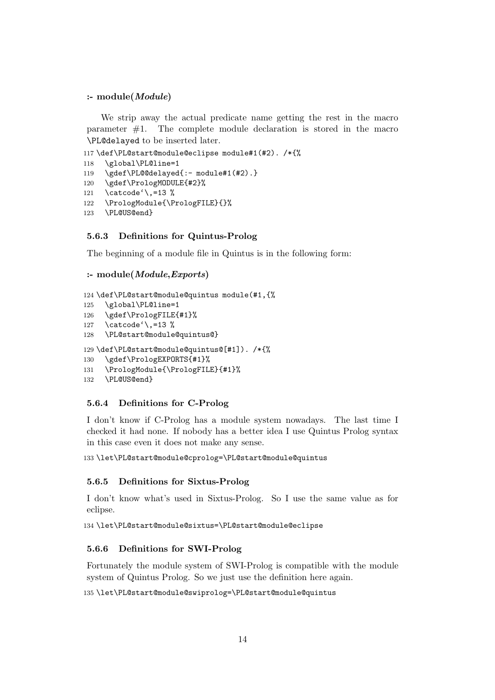### **:- module(***Module***)**

We strip away the actual predicate name getting the rest in the macro parameter  $#1$ . The complete module declaration is stored in the macro \PL@delayed to be inserted later.

```
117 \def\PL@start@module@eclipse module#1(#2). /*{%
118 \global\PL@line=1
119 \gdef\PL@@delayed{:- module#1(#2).}
120 \gdef\PrologMODULE{#2}%
121 \catcode'\,=13 %
122 \PrologModule{\PrologFILE}{}%
123 \PL@US@end}
```
### **5.6.3 Definitions for Quintus-Prolog**

The beginning of a module file in Quintus is in the following form:

```
:- module(Module,Exports)
```

```
124 \def\PL@start@module@quintus module(#1,{%
125 \global\PL@line=1
126 \gdef\PrologFILE{#1}%
127 \catcode'\,=13 %
128 \PL@start@module@quintus@}
129 \def\PL@start@module@quintus@[#1]). /*{%
130 \gdef\PrologEXPORTS{#1}%
131 \PrologModule{\PrologFILE}{#1}%
132 \PL@US@end}
```
# **5.6.4 Definitions for C-Prolog**

I don't know if C-Prolog has a module system nowadays. The last time I checked it had none. If nobody has a better idea I use Quintus Prolog syntax in this case even it does not make any sense.

133 \let\PL@start@module@cprolog=\PL@start@module@quintus

### **5.6.5 Definitions for Sixtus-Prolog**

I don't know what's used in Sixtus-Prolog. So I use the same value as for eclipse.

134 \let\PL@start@module@sixtus=\PL@start@module@eclipse

### **5.6.6 Definitions for SWI-Prolog**

Fortunately the module system of SWI-Prolog is compatible with the module system of Quintus Prolog. So we just use the definition here again.

135 \let\PL@start@module@swiprolog=\PL@start@module@quintus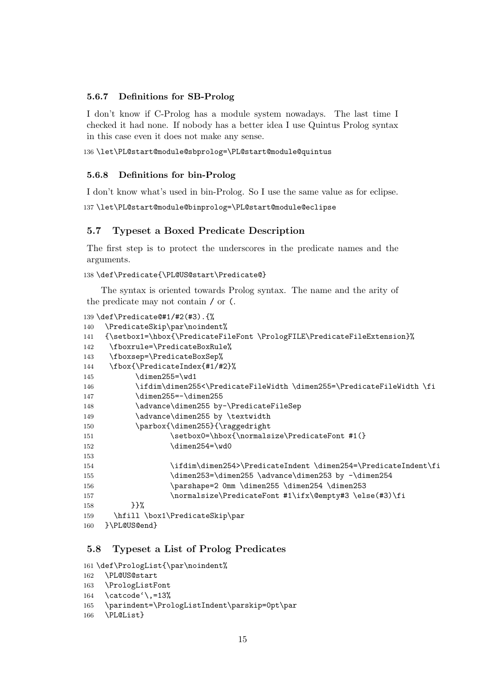### **5.6.7 Definitions for SB-Prolog**

I don't know if C-Prolog has a module system nowadays. The last time I checked it had none. If nobody has a better idea I use Quintus Prolog syntax in this case even it does not make any sense.

136 \let\PL@start@module@sbprolog=\PL@start@module@quintus

#### **5.6.8 Definitions for bin-Prolog**

I don't know what's used in bin-Prolog. So I use the same value as for eclipse.

137 \let\PL@start@module@binprolog=\PL@start@module@eclipse

### **5.7 Typeset a Boxed Predicate Description**

The first step is to protect the underscores in the predicate names and the arguments.

```
138 \def\Predicate{\PL@US@start\Predicate@}
```
The syntax is oriented towards Prolog syntax. The name and the arity of the predicate may not contain / or (.

```
139 \def\Predicate@#1/#2(#3).{%
140 \PredicateSkip\par\noindent%
141 {\setbox1=\hbox{\PredicateFileFont \PrologFILE\PredicateFileExtension}%
142 \fboxrule=\PredicateBoxRule%
143 \fboxsep=\PredicateBoxSep%
144 \fbox{\PredicateIndex{#1/#2}%
145 \dimen255=\wd1
146 \ifdim\dimen255<\PredicateFileWidth \dimen255=\PredicateFileWidth \fi
147 \dimen255=-\dimen255
148 \advance\dimen255 by-\PredicateFileSep
149 \dvance\dimen255 by \textwidth
150 \parbox{\dimen255}{\raggedright
151 \setbox0=\hbox{\normalsize\PredicateFont #1(}
152 \dimen254=\wd0
153
154 \ifdim\dimen254>\PredicateIndent \dimen254=\PredicateIndent\fi
155 \dimen253=\dimen255 \advance\dimen253 by -\dimen254
156 \parshape=2 0mm \dimen255 \dimen254 \dimen253
157 \normalsize\PredicateFont #1\ifx\@empty#3 \else(#3)\fi
158 }<sup>}</sup>%
159 \hfill \box1\PredicateSkip\par
160 }\PL@US@end}
```
# **5.8 Typeset a List of Prolog Predicates**

```
161 \def\PrologList{\par\noindent%
```

```
162 \PL@US@start
```

```
163 \PrologListFont
```

```
164 \catcode'\, =13%
```

```
165 \parindent=\PrologListIndent\parskip=0pt\par
```

```
166 \PL@List}
```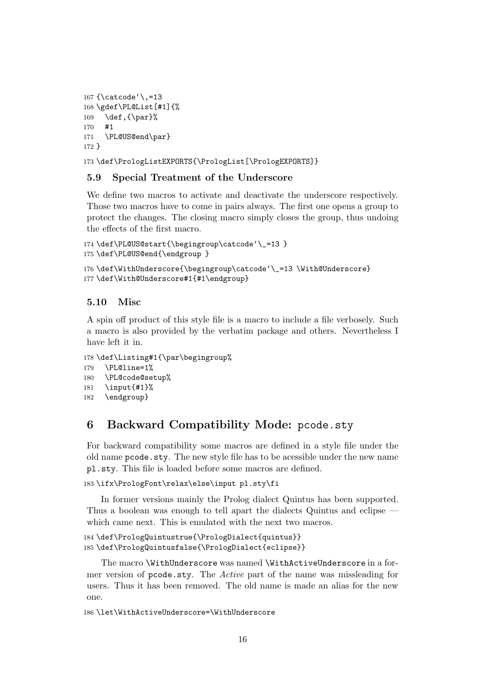```
167 {\catcode'\,=13
168 \gdef\PL@List[#1]{%
169 \def, {\par}%
170 #1
171 \PL@US@end\par}
172 }
```
173 \def\PrologListEXPORTS{\PrologList[\PrologEXPORTS]}

## **5.9 Special Treatment of the Underscore**

We define two macros to activate and deactivate the underscore respectively. Those two macros have to come in pairs always. The first one opens a group to protect the changes. The closing macro simply closes the group, thus undoing the effects of the first macro.

```
174 \def\PL@US@start{\begingroup\catcode'\_=13 }
175 \def\PL@US@end{\endgroup }
```

```
176 \def\WithUnderscore{\begingroup\catcode'\_=13 \With@Underscore}
177 \def\With@Underscore#1{#1\endgroup}
```
### **5.10 Misc**

A spin off product of this style file is a macro to include a file verbosely. Such a macro is also provided by the verbatim package and others. Nevertheless I have left it in.

```
178 \def\Listing#1{\par\begingroup%
179 \PL@line=1%
```

```
180 \PL@code@setup%
181 \input{#1}%
```

```
182 \endgroup}
```
# **6 Backward Compatibility Mode:** pcode.sty

For backward compatibility some macros are defined in a style file under the old name pcode.sty. The new style file has to be acessible under the new name pl.sty. This file is loaded before some macros are defined.

```
183 \ifx\PrologFont\relax\else\input pl.sty\fi
```
In former versions mainly the Prolog dialect Quintus has been supported. Thus a boolean was enough to tell apart the dialects Quintus and eclipse which came next. This is emulated with the next two macros.

```
184 \def\PrologQuintustrue{\PrologDialect{quintus}}
185 \def\PrologQuintusfalse{\PrologDialect{eclipse}}
```
The macro \WithUnderscore was named \WithActiveUnderscore in a former version of pcode.sty. The *Active* part of the name was missleading for users. Thus it has been removed. The old name is made an alias for the new one.

```
186 \let\WithActiveUnderscore=\WithUnderscore
```